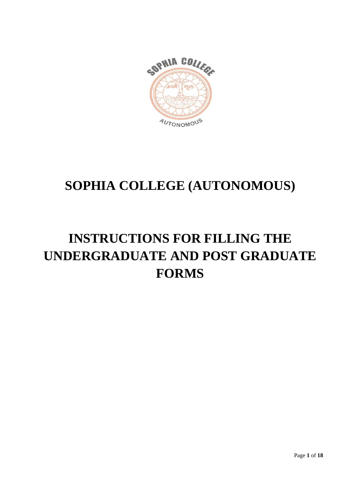

# **SOPHIA COLLEGE (AUTONOMOUS)**

# **INSTRUCTIONS FOR FILLING THE UNDERGRADUATE AND POST GRADUATE FORMS**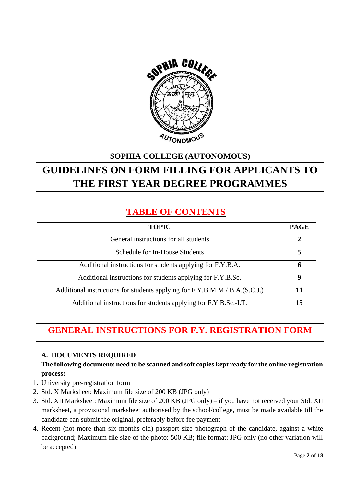

## **SOPHIA COLLEGE (AUTONOMOUS) GUIDELINES ON FORM FILLING FOR APPLICANTS TO THE FIRST YEAR DEGREE PROGRAMMES**

## **TABLE OF CONTENTS**

| <b>TOPIC</b>                                                               | <b>PAGE</b> |
|----------------------------------------------------------------------------|-------------|
| General instructions for all students                                      | 2           |
| Schedule for In-House Students                                             | 5           |
| Additional instructions for students applying for F.Y.B.A.                 | 6           |
| Additional instructions for students applying for F.Y.B.Sc.                | 9           |
| Additional instructions for students applying for F.Y.B.M.M./ B.A.(S.C.J.) | 11          |
| Additional instructions for students applying for F.Y.B.Sc.-I.T.           | 15          |

## **GENERAL INSTRUCTIONS FOR F.Y. REGISTRATION FORM**

## **A. DOCUMENTS REQUIRED**

## **The following documents need to be scanned and soft copies kept ready for the online registration process:**

- 1. University pre-registration form
- 2. Std. X Marksheet: Maximum file size of 200 KB (JPG only)
- 3. Std. XII Marksheet: Maximum file size of 200 KB (JPG only) if you have not received your Std. XII marksheet, a provisional marksheet authorised by the school/college, must be made available till the candidate can submit the original, preferably before fee payment
- 4. Recent (not more than six months old) passport size photograph of the candidate, against a white background; Maximum file size of the photo: 500 KB; file format: JPG only (no other variation will be accepted)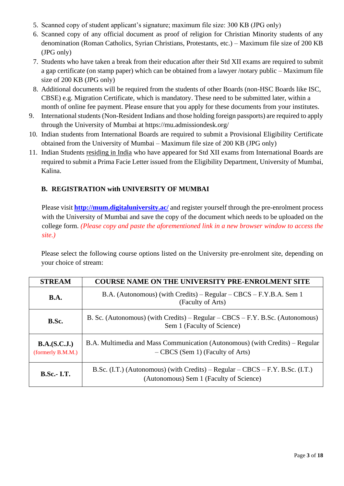- 5. Scanned copy of student applicant's signature; maximum file size: 300 KB (JPG only)
- 6. Scanned copy of any official document as proof of religion for Christian Minority students of any denomination (Roman Catholics, Syrian Christians, Protestants, etc.) – Maximum file size of 200 KB (JPG only)
- 7. Students who have taken a break from their education after their Std XII exams are required to submit a gap certificate (on stamp paper) which can be obtained from a lawyer /notary public – Maximum file size of 200 KB (JPG only)
- 8. Additional documents will be required from the students of other Boards (non-HSC Boards like ISC, CBSE) e.g. Migration Certificate, which is mandatory. These need to be submitted later, within a month of online fee payment. Please ensure that you apply for these documents from your institutes.
- 9. International students (Non-Resident Indians and those holding foreign passports) are required to apply through the University of Mumbai at https://mu.admissiondesk.org/
- 10. Indian students from International Boards are required to submit a Provisional Eligibility Certificate obtained from the University of Mumbai – Maximum file size of 200 KB (JPG only)
- 11. Indian Students residing in India who have appeared for Std XII exams from International Boards are required to submit a Prima Facie Letter issued from the Eligibility Department, University of Mumbai, Kalina.

## **B. REGISTRATION with UNIVERSITY OF MUMBAI**

Please visit **<http://mum.digitaluniversity.ac/>** [a](http://mumoa.digitaluniversity.ac/.%20Enter)nd register yourself through the pre-enrolment process with the University of Mumbai and save the copy of the document which needs to be uploaded on the college form. *(Please copy and paste the aforementioned link in a new browser window to access the site.)*

Please select the following course options listed on the University pre-enrolment site, depending on your choice of stream:

| <b>STREAM</b>                     | <b>COURSE NAME ON THE UNIVERSITY PRE-ENROLMENT SITE</b>                                                                  |
|-----------------------------------|--------------------------------------------------------------------------------------------------------------------------|
| <b>B.A.</b>                       | B.A. (Autonomous) (with Credits) – Regular – CBCS – F.Y.B.A. Sem 1<br>(Faculty of Arts)                                  |
| B.Sc.                             | B. Sc. (Autonomous) (with Credits) – $Regular - CBCS - F.Y. B.Sc.$ (Autonomous)<br>Sem 1 (Faculty of Science)            |
| B.A.(S.C.J.)<br>(formerly B.M.M.) | B.A. Multimedia and Mass Communication (Autonomous) (with Credits) – Regular<br>- CBCS (Sem 1) (Faculty of Arts)         |
| <b>B.Sc.-I.T.</b>                 | B.Sc. (I.T.) (Autonomous) (with Credits) – Regular – CBCS – F.Y. B.Sc. (I.T.)<br>(Autonomous) Sem 1 (Faculty of Science) |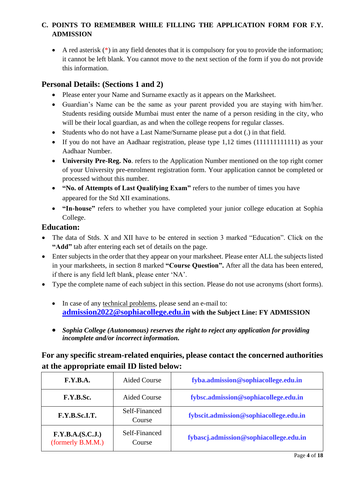## **C. POINTS TO REMEMBER WHILE FILLING THE APPLICATION FORM FOR F.Y. ADMISSION**

• A red asterisk  $(*)$  in any field denotes that it is compulsory for you to provide the information; it cannot be left blank. You cannot move to the next section of the form if you do not provide this information.

## **Personal Details: (Sections 1 and 2)**

- Please enter your Name and Surname exactly as it appears on the Marksheet.
- Guardian's Name can be the same as your parent provided you are staying with him/her. Students residing outside Mumbai must enter the name of a person residing in the city, who will be their local guardian, as and when the college reopens for regular classes.
- Students who do not have a Last Name/Surname please put a dot (.) in that field.
- If you do not have an Aadhaar registration, please type 1,12 times (111111111111111) as your Aadhaar Number.
- **University Pre-Reg. No**. refers to the Application Number mentioned on the top right corner of your University pre-enrolment registration form. Your application cannot be completed or processed without this number.
- **"No. of Attempts of Last Qualifying Exam"** refers to the number of times you have appeared for the Std XII examinations.
- **"In-house"** refers to whether you have completed your junior college education at Sophia College.

## **Education:**

- The data of Stds. X and XII have to be entered in section 3 marked "Education". Click on the **"Add"** tab after entering each set of details on the page.
- Enter subjects in the order that they appear on your marksheet. Please enter ALL the subjects listed in your marksheets, in section 8 marked **"Course Question".** After all the data has been entered, if there is any field left blank, please enter 'NA'.
- Type the complete name of each subject in this section. Please do not use acronyms (short forms).
	- In case of any technical problems, please send an e-mail to: **[admission2022@sophiacollege.edu.in](mailto:admission2022@sophiacollege.edu.in) with the Subject Line: FY ADMISSION**
	- *Sophia College (Autonomous) reserves the right to reject any application for providing incomplete and/or incorrect information.*

## **For any specific stream-related enquiries, please contact the concerned authorities at the appropriate email ID listed below:**

| F.Y.B.A.                              | <b>Aided Course</b>     | fyba.admission@sophiacollege.edu.in    |
|---------------------------------------|-------------------------|----------------------------------------|
| F.Y.B.Sc.                             | <b>Aided Course</b>     | fybsc.admission@sophiacollege.edu.in   |
| F.Y.B.Sc.I.T.                         | Self-Financed<br>Course | fybscit.admission@sophiacollege.edu.in |
| F.Y.B.A.(S.C.J.)<br>(formerly B.M.M.) | Self-Financed<br>Course | fybascj.admission@sophiacollege.edu.in |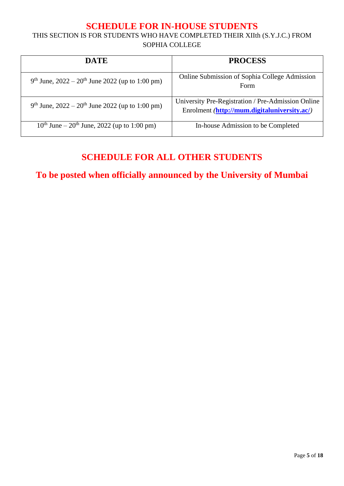## **SCHEDULE FOR IN-HOUSE STUDENTS**

THIS SECTION IS FOR STUDENTS WHO HAVE COMPLETED THEIR XIIth (S.Y.J.C.) FROM SOPHIA COLLEGE

| <b>DATE</b>                                                               | <b>PROCESS</b>                                                                                     |
|---------------------------------------------------------------------------|----------------------------------------------------------------------------------------------------|
| 9 <sup>th</sup> June, $2022 - 20$ <sup>th</sup> June 2022 (up to 1:00 pm) | <b>Online Submission of Sophia College Admission</b><br>Form                                       |
| $9th$ June, 2022 – 20 <sup>th</sup> June 2022 (up to 1:00 pm)             | University Pre-Registration / Pre-Admission Online<br>Enrolment (http://mum.digitaluniversity.ac/) |
| $10^{th}$ June – $20^{th}$ June, 2022 (up to 1:00 pm)                     | In-house Admission to be Completed                                                                 |

## **SCHEDULE FOR ALL OTHER STUDENTS**

**To be posted when officially announced by the University of Mumbai**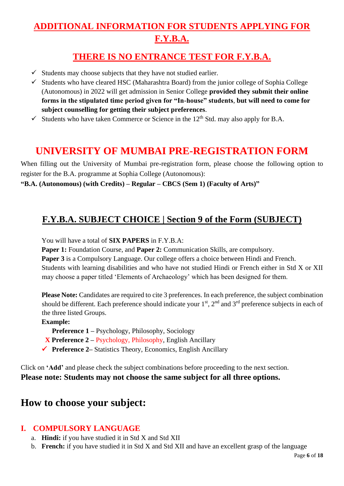## **ADDITIONAL INFORMATION FOR STUDENTS APPLYING FOR F.Y.B.A.**

## **THERE IS NO ENTRANCE TEST FOR F.Y.B.A.**

- $\checkmark$  Students may choose subjects that they have not studied earlier.
- $\checkmark$  Students who have cleared HSC (Maharashtra Board) from the junior college of Sophia College (Autonomous) in 2022 will get admission in Senior College **provided they submit their online forms in the stipulated time period given for "In-house" students**, **but will need to come for subject counselling for getting their subject preferences**.
- $\checkmark$  Students who have taken Commerce or Science in the 12<sup>th</sup> Std. may also apply for B.A.

## **UNIVERSITY OF MUMBAI PRE-REGISTRATION FORM**

When filling out the University of Mumbai pre-registration form, please choose the following option to register for the B.A. programme at Sophia College (Autonomous):

**"B.A. (Autonomous) (with Credits) – Regular – CBCS (Sem 1) (Faculty of Arts)"**

## **F.Y.B.A. SUBJECT CHOICE | Section 9 of the Form (SUBJECT)**

You will have a total of **SIX PAPERS** in F.Y.B.A:

**Paper 1:** Foundation Course, and **Paper 2:** Communication Skills, are compulsory.

**Paper 3** is a Compulsory Language. Our college offers a choice between Hindi and French. Students with learning disabilities and who have not studied Hindi or French either in Std X or XII may choose a paper titled 'Elements of Archaeology' which has been designed for them.

**Please Note:** Candidates are required to cite 3 preferences. In each preference, the subject combination should be different. Each preference should indicate your  $1<sup>st</sup>$ ,  $2<sup>nd</sup>$  and  $3<sup>rd</sup>$  preference subjects in each of the three listed Groups.

#### **Example:**

**Preference 1 –** Psychology, Philosophy, Sociology

- **X Preference 2 –** Psychology, Philosophy, English Ancillary
- ✓ **Preference 2–** Statistics Theory, Economics, English Ancillary

Click on **'Add'** and please check the subject combinations before proceeding to the next section. **Please note: Students may not choose the same subject for all three options.** 

## **How to choose your subject:**

## **I. COMPULSORY LANGUAGE**

- a. **Hindi:** if you have studied it in Std X and Std XII
- b. **French:** if you have studied it in Std X and Std XII and have an excellent grasp of the language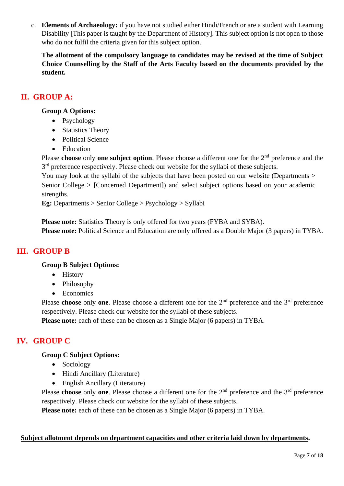c. **Elements of Archaeology:** if you have not studied either Hindi/French or are a student with Learning Disability [This paper is taught by the Department of History]. This subject option is not open to those who do not fulfil the criteria given for this subject option.

**The allotment of the compulsory language to candidates may be revised at the time of Subject Choice Counselling by the Staff of the Arts Faculty based on the documents provided by the student.** 

## **II. GROUP A:**

#### **Group A Options:**

- Psychology
- Statistics Theory
- Political Science
- Education

Please **choose** only **one subject option**. Please choose a different one for the 2<sup>nd</sup> preference and the 3<sup>rd</sup> preference respectively. Please check our website for the syllabi of these subjects.

You may look at the syllabi of the subjects that have been posted on our website (Departments > Senior College > [Concerned Department]) and select subject options based on your academic strengths.

**Eg:** Departments > Senior College > Psychology > Syllabi

**Please note:** Statistics Theory is only offered for two years (FYBA and SYBA). **Please note:** Political Science and Education are only offered as a Double Major (3 papers) in TYBA.

## **III. GROUP B**

#### **Group B Subject Options:**

- History
- Philosophy
- Economics

Please **choose** only **one**. Please choose a different one for the 2<sup>nd</sup> preference and the 3<sup>rd</sup> preference respectively. Please check our website for the syllabi of these subjects.

**Please note:** each of these can be chosen as a Single Major (6 papers) in TYBA.

## **IV. GROUP C**

#### **Group C Subject Options:**

- Sociology
- Hindi Ancillary (Literature)
- English Ancillary (Literature)

Please **choose** only **one**. Please choose a different one for the 2<sup>nd</sup> preference and the 3<sup>rd</sup> preference respectively. Please check our website for the syllabi of these subjects.

**Please note:** each of these can be chosen as a Single Major (6 papers) in TYBA.

#### **Subject allotment depends on department capacities and other criteria laid down by departments.**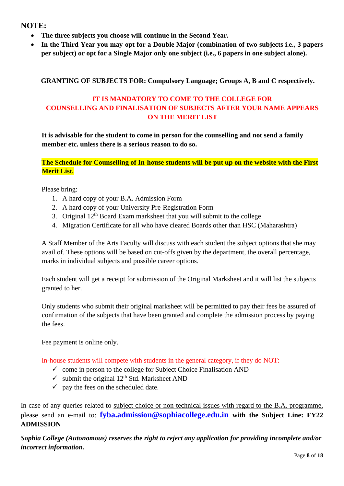## **NOTE:**

- **The three subjects you choose will continue in the Second Year.**
- **In the Third Year you may opt for a Double Major (combination of two subjects i.e., 3 papers per subject) or opt for a Single Major only one subject (i.e., 6 papers in one subject alone).**

#### **GRANTING OF SUBJECTS FOR: Compulsory Language; Groups A, B and C respectively.**

## **IT IS MANDATORY TO COME TO THE COLLEGE FOR COUNSELLING AND FINALISATION OF SUBJECTS AFTER YOUR NAME APPEARS ON THE MERIT LIST**

**It is advisable for the student to come in person for the counselling and not send a family member etc. unless there is a serious reason to do so.** 

**The Schedule for Counselling of In-house students will be put up on the website with the First Merit List.**

Please bring:

- 1. A hard copy of your B.A. Admission Form
- 2. A hard copy of your University Pre-Registration Form
- 3. Original  $12<sup>th</sup>$  Board Exam marksheet that you will submit to the college
- 4. Migration Certificate for all who have cleared Boards other than HSC (Maharashtra)

A Staff Member of the Arts Faculty will discuss with each student the subject options that she may avail of. These options will be based on cut-offs given by the department, the overall percentage, marks in individual subjects and possible career options.

Each student will get a receipt for submission of the Original Marksheet and it will list the subjects granted to her.

Only students who submit their original marksheet will be permitted to pay their fees be assured of confirmation of the subjects that have been granted and complete the admission process by paying the fees.

Fee payment is online only.

In-house students will compete with students in the general category, if they do NOT:

- $\checkmark$  come in person to the college for Subject Choice Finalisation AND
- $\checkmark$  submit the original 12<sup>th</sup> Std. Marksheet AND
- $\checkmark$  pay the fees on the scheduled date.

In case of any queries related to subject choice or non-technical issues with regard to the B.A. programme, please send an e-mail to: **fyba.admission@sophiacollege.edu.in with the Subject Line: FY22 ADMISSION**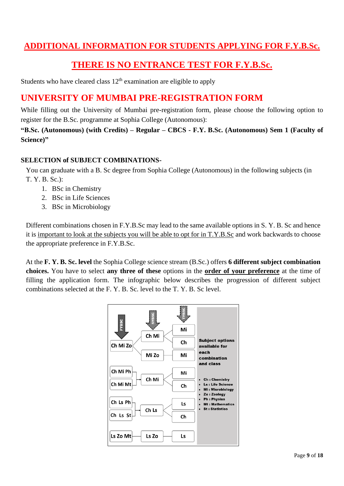## **ADDITIONAL INFORMATION FOR STUDENTS APPLYING FOR F.Y.B.Sc.**

## **THERE IS NO ENTRANCE TEST FOR F.Y.B.Sc.**

Students who have cleared class  $12<sup>th</sup>$  examination are eligible to apply

## **UNIVERSITY OF MUMBAI PRE-REGISTRATION FORM**

While filling out the University of Mumbai pre-registration form, please choose the following option to register for the B.Sc. programme at Sophia College (Autonomous):

**"B.Sc. (Autonomous) (with Credits) – Regular – CBCS - F.Y. B.Sc. (Autonomous) Sem 1 (Faculty of Science)"**

#### **SELECTION of SUBJECT COMBINATIONS-**

You can graduate with a B. Sc degree from Sophia College (Autonomous) in the following subjects (in T. Y. B. Sc.):

- 1. BSc in Chemistry
- 2. BSc in Life Sciences
- 3. BSc in Microbiology

Different combinations chosen in F.Y.B.Sc may lead to the same available options in S. Y. B. Sc and hence it is important to look at the subjects you will be able to opt for in T.Y.B.Sc and work backwards to choose the appropriate preference in F.Y.B.Sc.

At the **F. Y. B. Sc. level** the Sophia College science stream (B.Sc.) offers **6 different subject combination choices.** You have to select **any three of these** options in the **order of your preference** at the time of filling the application form. The infographic below describes the progression of different subject combinations selected at the F. Y. B. Sc. level to the T. Y. B. Sc level.

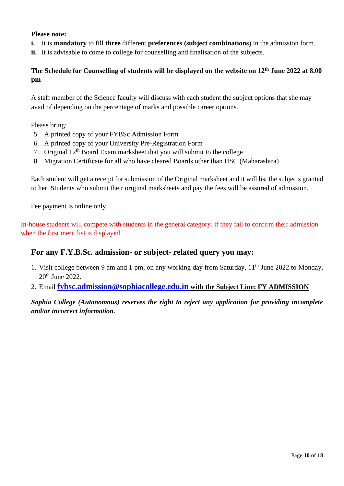#### **Please note:**

- **i.** It is **mandatory** to fill **three** different **preferences (subject combinations)** in the admission form.
- **ii.** It is advisable to come to college for counselling and finalisation of the subjects.

### **The Schedule for Counselling of students will be displayed on the website on 12th June 2022 at 8.00 pm**

A staff member of the Science faculty will discuss with each student the subject options that she may avail of depending on the percentage of marks and possible career options.

Please bring:

- 5. A printed copy of your FYBSc Admission Form
- 6. A printed copy of your University Pre-Registration Form
- 7. Original 12th Board Exam marksheet that you will submit to the college
- 8. Migration Certificate for all who have cleared Boards other than HSC (Maharashtra)

Each student will get a receipt for submission of the Original marksheet and it will list the subjects granted to her. Students who submit their original marksheets and pay the fees will be assured of admission.

Fee payment is online only.

In-house students will compete with students in the general category, if they fail to confirm their admission when the first merit list is displayed

#### **For any F.Y.B.Sc. admission- or subject- related query you may:**

- 1. Visit college between 9 am and 1 pm, on any working day from Saturday,  $11<sup>th</sup>$  June 2022 to Monday, 20th June 2022.
- 2. Email **[fybsc.admission@sophiacollege.edu.in](mailto:fybsc.admission@sophiacollege.edu.in) with the Subject Line: FY ADMISSION**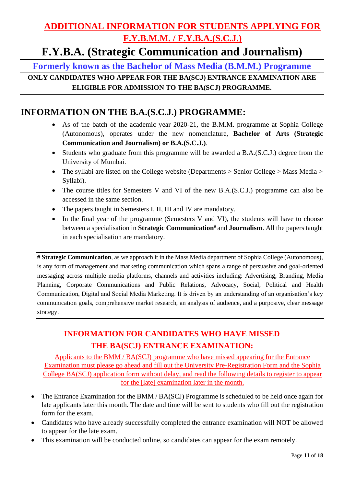## **ADDITIONAL INFORMATION FOR STUDENTS APPLYING FOR F.Y.B.M.M. / F.Y.B.A.(S.C.J.)**

## **F.Y.B.A. (Strategic Communication and Journalism)**

**Formerly known as the Bachelor of Mass Media (B.M.M.) Programme**

**ONLY CANDIDATES WHO APPEAR FOR THE BA(SCJ) ENTRANCE EXAMINATION ARE ELIGIBLE FOR ADMISSION TO THE BA(SCJ) PROGRAMME.**

## **INFORMATION ON THE B.A.(S.C.J.) PROGRAMME:**

- As of the batch of the academic year 2020-21, the B.M.M. programme at Sophia College (Autonomous), operates under the new nomenclature, **Bachelor of Arts (Strategic Communication and Journalism) or B.A.(S.C.J.)**.
- Students who graduate from this programme will be awarded a B.A.(S.C.J.) degree from the University of Mumbai.
- The syllabi are listed on the College website (Departments > Senior College > Mass Media > Syllabi).
- The course titles for Semesters V and VI of the new B.A.(S.C.J.) programme can also be accessed in the same section.
- The papers taught in Semesters I, II, III and IV are mandatory.
- In the final year of the programme (Semesters V and VI), the students will have to choose between a specialisation in **Strategic Communication#** and **Journalism**. All the papers taught in each specialisation are mandatory.

**# Strategic Communication**, as we approach it in the Mass Media department of Sophia College (Autonomous), is any form of management and marketing communication which spans a range of persuasive and goal-oriented messaging across multiple media platforms, channels and activities including: Advertising, Branding, Media Planning, Corporate Communications and Public Relations, Advocacy, Social, Political and Health Communication, Digital and Social Media Marketing. It is driven by an understanding of an organisation's key communication goals, comprehensive market research, an analysis of audience, and a purposive, clear message strategy.

## **INFORMATION FOR CANDIDATES WHO HAVE MISSED THE BA(SCJ) ENTRANCE EXAMINATION:**

Applicants to the BMM / BA(SCJ) programme who have missed appearing for the Entrance Examination must please go ahead and fill out the University Pre-Registration Form and the Sophia College BA(SCJ) application form without delay, and read the following details to register to appear for the [late] examination later in the month.

- The Entrance Examination for the BMM / BA(SCJ) Programme is scheduled to be held once again for late applicants later this month. The date and time will be sent to students who fill out the registration form for the exam.
- Candidates who have already successfully completed the entrance examination will NOT be allowed to appear for the late exam.
- This examination will be conducted online, so candidates can appear for the exam remotely.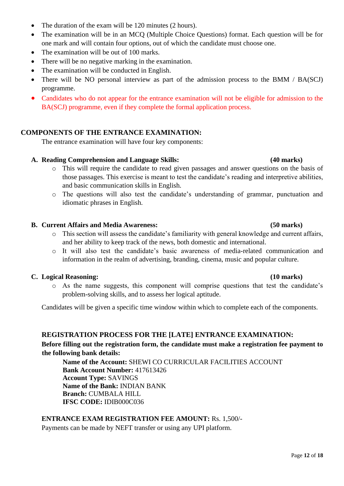- The duration of the exam will be 120 minutes (2 hours).
- The examination will be in an MCQ (Multiple Choice Questions) format. Each question will be for one mark and will contain four options, out of which the candidate must choose one.
- The examination will be out of 100 marks.
- There will be no negative marking in the examination.
- The examination will be conducted in English.
- There will be NO personal interview as part of the admission process to the BMM / BA(SCJ) programme.
- Candidates who do not appear for the entrance examination will not be eligible for admission to the BA(SCJ) programme, even if they complete the formal application process.

#### **COMPONENTS OF THE ENTRANCE EXAMINATION:**

The entrance examination will have four key components:

#### **A. Reading Comprehension and Language Skills: (40 marks)**

- o This will require the candidate to read given passages and answer questions on the basis of those passages. This exercise is meant to test the candidate's reading and interpretive abilities, and basic communication skills in English.
- o The questions will also test the candidate's understanding of grammar, punctuation and idiomatic phrases in English.

#### **B. Current Affairs and Media Awareness: (50 marks)**

- o This section will assess the candidate's familiarity with general knowledge and current affairs, and her ability to keep track of the news, both domestic and international.
- o It will also test the candidate's basic awareness of media-related communication and information in the realm of advertising, branding, cinema, music and popular culture.

#### **C. Logical Reasoning: (10 marks)**

o As the name suggests, this component will comprise questions that test the candidate's problem-solving skills, and to assess her logical aptitude.

Candidates will be given a specific time window within which to complete each of the components.

#### **REGISTRATION PROCESS FOR THE [LATE] ENTRANCE EXAMINATION:**

#### **Before filling out the registration form, the candidate must make a registration fee payment to the following bank details:**

**Name of the Account:** SHEWI CO CURRICULAR FACILITIES ACCOUNT **Bank Account Number:** 417613426 **Account Type:** SAVINGS **Name of the Bank:** INDIAN BANK **Branch:** CUMBALA HILL **IFSC CODE:** IDIB000C036

#### **ENTRANCE EXAM REGISTRATION FEE AMOUNT:** Rs. 1,500/-

Payments can be made by NEFT transfer or using any UPI platform.

#### Page **12** of **18**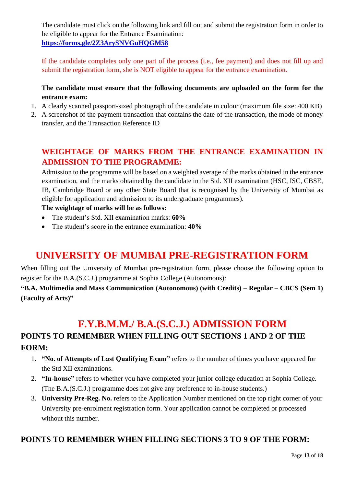The candidate must click on the following link and fill out and submit the registration form in order to be eligible to appear for the Entrance Examination: **<https://forms.gle/2Z3ArySNVGuHQGM58>**

If the candidate completes only one part of the process (i.e., fee payment) and does not fill up and submit the registration form, she is NOT eligible to appear for the entrance examination.

### **The candidate must ensure that the following documents are uploaded on the form for the entrance exam:**

- 1. A clearly scanned passport-sized photograph of the candidate in colour (maximum file size: 400 KB)
- 2. A screenshot of the payment transaction that contains the date of the transaction, the mode of money transfer, and the Transaction Reference ID

## **WEIGHTAGE OF MARKS FROM THE ENTRANCE EXAMINATION IN ADMISSION TO THE PROGRAMME:**

Admission to the programme will be based on a weighted average of the marks obtained in the entrance examination, and the marks obtained by the candidate in the Std. XII examination (HSC, ISC, CBSE, IB, Cambridge Board or any other State Board that is recognised by the University of Mumbai as eligible for application and admission to its undergraduate programmes).

### **The weightage of marks will be as follows:**

- The student's Std. XII examination marks: **60%**
- The student's score in the entrance examination: **40%**

## **UNIVERSITY OF MUMBAI PRE-REGISTRATION FORM**

When filling out the University of Mumbai pre-registration form, please choose the following option to register for the B.A.(S.C.J.) programme at Sophia College (Autonomous):

**"B.A. Multimedia and Mass Communication (Autonomous) (with Credits) – Regular – CBCS (Sem 1) (Faculty of Arts)"**

## **F.Y.B.M.M./ B.A.(S.C.J.) ADMISSION FORM**

## **POINTS TO REMEMBER WHEN FILLING OUT SECTIONS 1 AND 2 OF THE FORM:**

- 1. **"No. of Attempts of Last Qualifying Exam"** refers to the number of times you have appeared for the Std XII examinations.
- 2. **"In-house"** refers to whether you have completed your junior college education at Sophia College. (The B.A.(S.C.J.) programme does not give any preference to in-house students.)
- 3. **University Pre-Reg. No.** refers to the Application Number mentioned on the top right corner of your University pre-enrolment registration form. Your application cannot be completed or processed without this number.

## **POINTS TO REMEMBER WHEN FILLING SECTIONS 3 TO 9 OF THE FORM:**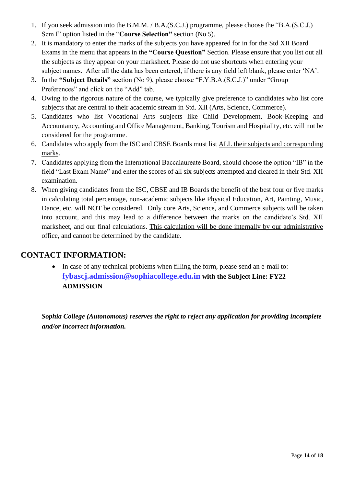- 1. If you seek admission into the B.M.M. / B.A.(S.C.J.) programme, please choose the "B.A.(S.C.J.) Sem I" option listed in the "**Course Selection"** section (No 5).
- 2. It is mandatory to enter the marks of the subjects you have appeared for in for the Std XII Board Exams in the menu that appears in the **"Course Question"** Section. Please ensure that you list out all the subjects as they appear on your marksheet. Please do not use shortcuts when entering your subject names. After all the data has been entered, if there is any field left blank, please enter 'NA'.
- 3. In the **"Subject Details"** section (No 9), please choose "F.Y.B.A.(S.C.J.)" under "Group Preferences" and click on the "Add" tab.
- 4. Owing to the rigorous nature of the course, we typically give preference to candidates who list core subjects that are central to their academic stream in Std. XII (Arts, Science, Commerce).
- 5. Candidates who list Vocational Arts subjects like Child Development, Book-Keeping and Accountancy, Accounting and Office Management, Banking, Tourism and Hospitality, etc. will not be considered for the programme.
- 6. Candidates who apply from the ISC and CBSE Boards must list ALL their subjects and corresponding marks.
- 7. Candidates applying from the International Baccalaureate Board, should choose the option "IB" in the field "Last Exam Name" and enter the scores of all six subjects attempted and cleared in their Std. XII examination.
- 8. When giving candidates from the ISC, CBSE and IB Boards the benefit of the best four or five marks in calculating total percentage, non-academic subjects like Physical Education, Art, Painting, Music, Dance, etc. will NOT be considered. Only core Arts, Science, and Commerce subjects will be taken into account, and this may lead to a difference between the marks on the candidate's Std. XII marksheet, and our final calculations. This calculation will be done internally by our administrative office, and cannot be determined by the candidate.

## **CONTACT INFORMATION:**

• In case of any technical problems when filling the form, please send an e-mail to: **fybascj.admission@sophiacollege.edu.in with the Subject Line: FY22 ADMISSION**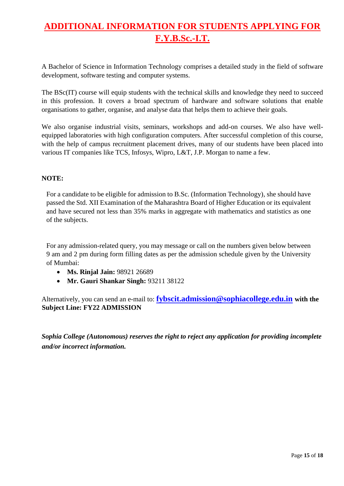## **ADDITIONAL INFORMATION FOR STUDENTS APPLYING FOR F.Y.B.Sc.-I.T.**

A Bachelor of Science in Information Technology comprises a detailed study in the field of software development, software testing and computer systems.

The BSc(IT) course will equip students with the technical skills and knowledge they need to succeed in this profession. It covers a broad spectrum of hardware and software solutions that enable organisations to gather, organise, and analyse data that helps them to achieve their goals.

We also organise industrial visits, seminars, workshops and add-on courses. We also have wellequipped laboratories with high configuration computers. After successful completion of this course, with the help of campus recruitment placement drives, many of our students have been placed into various IT companies like TCS, Infosys, Wipro, L&T, J.P. Morgan to name a few.

#### **NOTE:**

For a candidate to be eligible for admission to B.Sc. (Information Technology), she should have passed the Std. XII Examination of the Maharashtra Board of Higher Education or its equivalent and have secured not less than 35% marks in aggregate with mathematics and statistics as one of the subjects.

For any admission-related query, you may message or call on the numbers given below between 9 am and 2 pm during form filling dates as per the admission schedule given by the University of Mumbai:

- **Ms. Rinjal Jain:** 98921 26689
- **Mr. Gauri Shankar Singh:** 93211 38122

Alternatively, you can send an e-mail to: **[fybscit.admission@sophiacollege.edu.in](mailto:fybscit.admission@sophiacollege.edu.in) with the Subject Line: FY22 ADMISSION**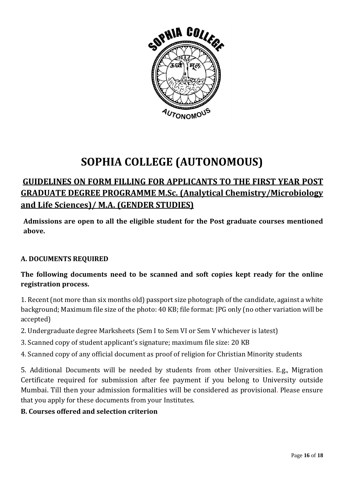

# **SOPHIA COLLEGE (AUTONOMOUS)**

## **GUIDELINES ON FORM FILLING FOR APPLICANTS TO THE FIRST YEAR POST GRADUATE DEGREE PROGRAMME M.Sc. (Analytical Chemistry/Microbiology and Life Sciences)/ M.A. (GENDER STUDIES)**

**Admissions are open to all the eligible student for the Post graduate courses mentioned above.**

## **A. DOCUMENTS REQUIRED**

## **The following documents need to be scanned and soft copies kept ready for the online registration process.**

1. Recent(not more than six months old) passport size photograph of the candidate, against a white background; Maximum file size of the photo: 40 KB; file format: JPG only (no other variation will be accepted)

- 2. Undergraduate degree Marksheets (Sem I to Sem VI or Sem V whichever is latest)
- 3. Scanned copy of student applicant's signature; maximum file size: 20 KB
- 4. Scanned copy of any official document as proof of religion for Christian Minority students

5. Additional Documents will be needed by students from other Universities. E.g., Migration Certificate required for submission after fee payment if you belong to University outside Mumbai. Till then your admission formalities will be considered as provisional. Please ensure that you apply for these documents from your Institutes.

## **B. Courses offered and selection criterion**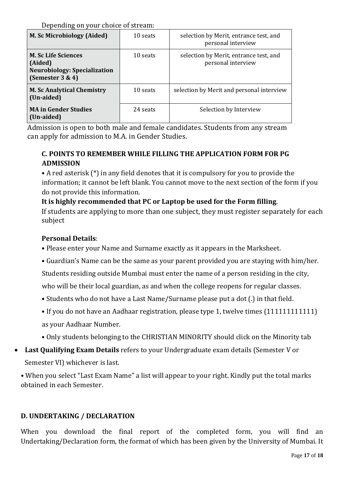Depending on your choice of stream:

| M. Sc Microbiology (Aided)                                                                           | 10 seats | selection by Merit, entrance test, and<br>personal interview |
|------------------------------------------------------------------------------------------------------|----------|--------------------------------------------------------------|
| <b>M. Sc Life Sciences</b><br>(Aided)<br><b>Neurobiology: Specialization</b><br>(Semester $3 \& 4$ ) | 10 seats | selection by Merit, entrance test, and<br>personal interview |
| <b>M. Sc Analytical Chemistry</b><br>(Un-aided)                                                      | 10 seats | selection by Merit and personal interview                    |
| <b>MA in Gender Studies</b><br>(Un-aided)                                                            | 24 seats | Selection by Interview                                       |

 Admission is open to both male and female candidates. Students from any stream can apply for admission to M.A. in Gender Studies.

## **C. POINTS TO REMEMBER WHILE FILLING THE APPLICATION FORM FOR PG ADMISSION**

• A red asterisk (\*) in any field denotes that it is compulsory for you to provide the information; it cannot be left blank. You cannot move to the next section of the form if you do not provide this information.

## **It is highly recommended that PC or Laptop be used for the Form filling**.

If students are applying to more than one subject, they must register separately for each subject

## **Personal Details**:

- Please enter your Name and Surname exactly as it appears in the Marksheet.
- Guardian's Name can be the same as your parent provided you are staying with him/her.
- Students residing outside Mumbai must enter the name of a person residing in the city,

who will be their local guardian, as and when the college reopens for regular classes.

- Students who do not have a Last Name/Surname please put a dot (.) in that field.
- If you do not have an Aadhaar registration, please type 1, twelve times (111111111111) as your Aadhaar Number.
- Only students belonging to the CHRISTIAN MINORITY should click on the Minority tab
- **Last Qualifying Exam Details** refers to your Undergraduate exam details (Semester V or Semester VI) whichever is last.

• When you select "Last Exam Name" a list will appear to your right. Kindly put the total marks obtained in each Semester.

## **D. UNDERTAKING / DECLARATION**

When you download the final report of the completed form, you will find an Undertaking/Declaration form, the format of which has been given by the University of Mumbai. It